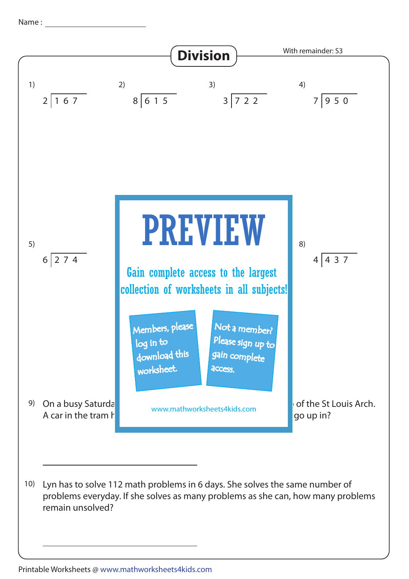